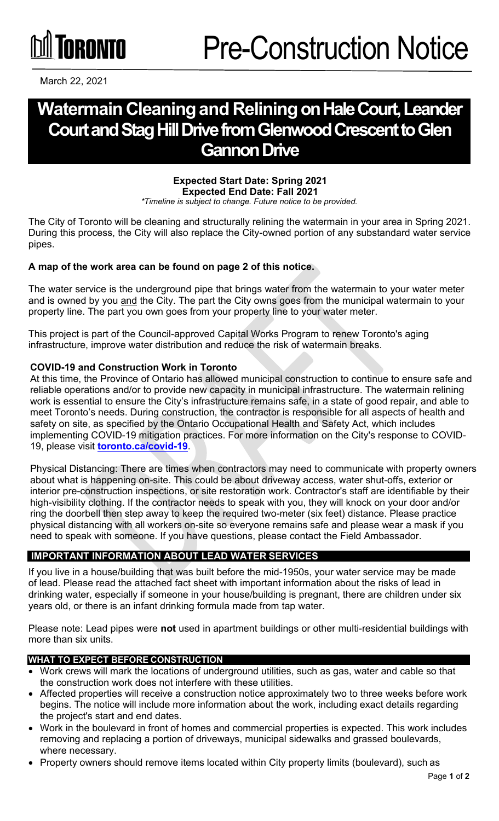# TORONTO

March 22, 2021

# **Watermain Cleaningand Reliningon Hale Court, Leander Courtand Stag Hill Drive from Glenwood Crescent to Glen Gannon Drive**

## **Expected Start Date: Spring 2021 Expected End Date: Fall 2021**

*\*Timeline is subject to change. Future notice to be provided.*

The City of Toronto will be cleaning and structurally relining the watermain in your area in Spring 2021. During this process, the City will also replace the City-owned portion of any substandard water service pipes.

## **A map of the work area can be found on page 2 of this notice.**

The water service is the underground pipe that brings water from the watermain to your water meter and is owned by you and the City. The part the City owns goes from the municipal watermain to your property line. The part you own goes from your property line to your water meter.

This project is part of the Council-approved Capital Works Program to renew Toronto's aging infrastructure, improve water distribution and reduce the risk of watermain breaks.

#### **COVID-19 and Construction Work in Toronto**

At this time, the Province of Ontario has allowed municipal construction to continue to ensure safe and reliable operations and/or to provide new capacity in municipal infrastructure. The watermain relining work is essential to ensure the City's infrastructure remains safe, in a state of good repair, and able to meet Toronto's needs. During construction, the contractor is responsible for all aspects of health and safety on site, as specified by the Ontario Occupational Health and Safety Act, which includes implementing COVID-19 mitigation practices. For more information on the City's response to COVID-19, please visit **[toronto.ca/covid-19](http://toronto.ca/covid-19)**.

Physical Distancing: There are times when contractors may need to communicate with property owners about what is happening on-site. This could be about driveway access, water shut-offs, exterior or interior pre-construction inspections, or site restoration work. Contractor's staff are identifiable by their high-visibility clothing. If the contractor needs to speak with you, they will knock on your door and/or ring the doorbell then step away to keep the required two-meter (six feet) distance. Please practice physical distancing with all workers on-site so everyone remains safe and please wear a mask if you need to speak with someone. If you have questions, please contact the Field Ambassador.

#### **IMPORTANT INFORMATION ABOUT LEAD WATER SERVICES**

If you live in a house/building that was built before the mid-1950s, your water service may be made of lead. Please read the attached fact sheet with important information about the risks of lead in drinking water, especially if someone in your house/building is pregnant, there are children under six years old, or there is an infant drinking formula made from tap water.

Please note: Lead pipes were **not** used in apartment buildings or other multi-residential buildings with more than six units.

#### **WHAT TO EXPECT BEFORE CONSTRUCTION**

- Work crews will mark the locations of underground utilities, such as gas, water and cable so that the construction work does not interfere with these utilities.
- Affected properties will receive a construction notice approximately two to three weeks before work begins. The notice will include more information about the work, including exact details regarding the project's start and end dates.
- Work in the boulevard in front of homes and commercial properties is expected. This work includes removing and replacing a portion of driveways, municipal sidewalks and grassed boulevards, where necessary.
- Property owners should remove items located within City property limits (boulevard), such as